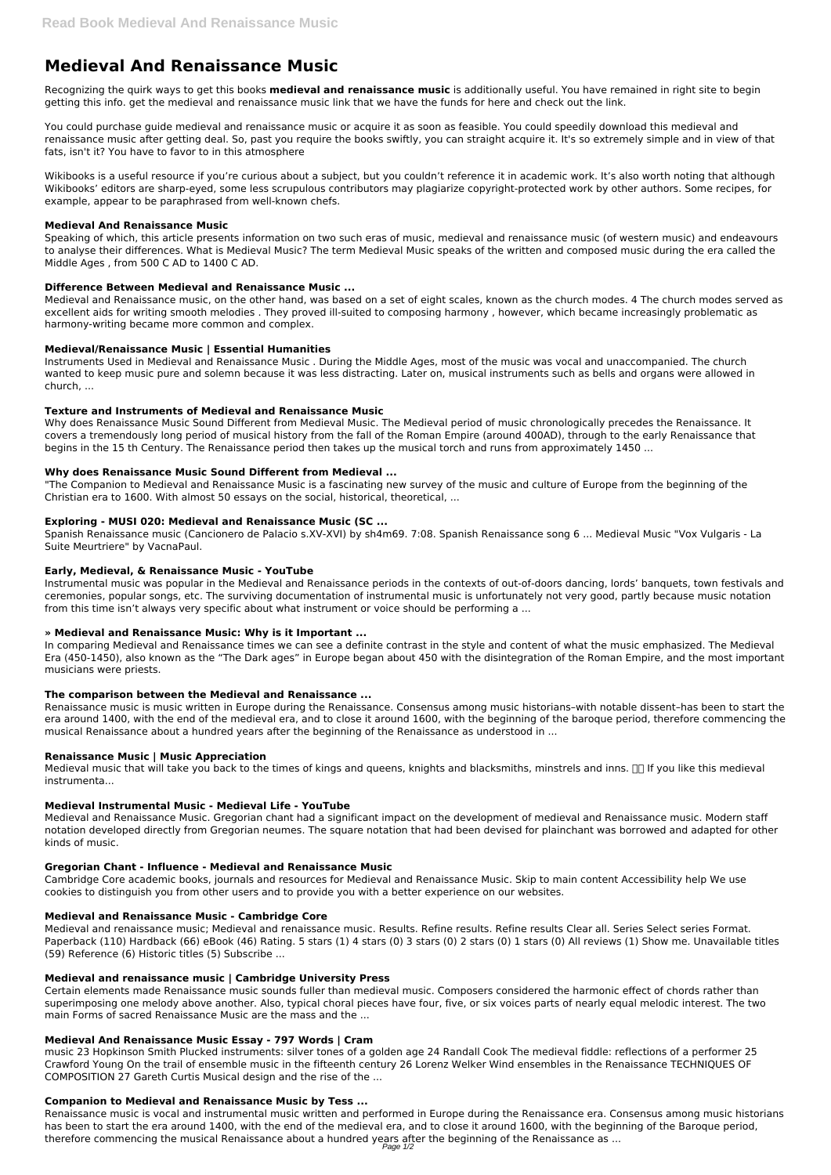# **Medieval And Renaissance Music**

Recognizing the quirk ways to get this books **medieval and renaissance music** is additionally useful. You have remained in right site to begin getting this info. get the medieval and renaissance music link that we have the funds for here and check out the link.

You could purchase guide medieval and renaissance music or acquire it as soon as feasible. You could speedily download this medieval and renaissance music after getting deal. So, past you require the books swiftly, you can straight acquire it. It's so extremely simple and in view of that fats, isn't it? You have to favor to in this atmosphere

Wikibooks is a useful resource if you're curious about a subject, but you couldn't reference it in academic work. It's also worth noting that although Wikibooks' editors are sharp-eyed, some less scrupulous contributors may plagiarize copyright-protected work by other authors. Some recipes, for example, appear to be paraphrased from well-known chefs.

## **Medieval And Renaissance Music**

Speaking of which, this article presents information on two such eras of music, medieval and renaissance music (of western music) and endeavours to analyse their differences. What is Medieval Music? The term Medieval Music speaks of the written and composed music during the era called the Middle Ages , from 500 C AD to 1400 C AD.

## **Difference Between Medieval and Renaissance Music ...**

Medieval and Renaissance music, on the other hand, was based on a set of eight scales, known as the church modes. 4 The church modes served as excellent aids for writing smooth melodies . They proved ill-suited to composing harmony , however, which became increasingly problematic as harmony-writing became more common and complex.

## **Medieval/Renaissance Music | Essential Humanities**

Instruments Used in Medieval and Renaissance Music . During the Middle Ages, most of the music was vocal and unaccompanied. The church wanted to keep music pure and solemn because it was less distracting. Later on, musical instruments such as bells and organs were allowed in church, ...

#### **Texture and Instruments of Medieval and Renaissance Music**

Medieval music that will take you back to the times of kings and queens, knights and blacksmiths, minstrels and inns.  $\Box$  If you like this medieval instrumenta...

Why does Renaissance Music Sound Different from Medieval Music. The Medieval period of music chronologically precedes the Renaissance. It covers a tremendously long period of musical history from the fall of the Roman Empire (around 400AD), through to the early Renaissance that begins in the 15 th Century. The Renaissance period then takes up the musical torch and runs from approximately 1450 ...

## **Why does Renaissance Music Sound Different from Medieval ...**

"The Companion to Medieval and Renaissance Music is a fascinating new survey of the music and culture of Europe from the beginning of the Christian era to 1600. With almost 50 essays on the social, historical, theoretical, ...

## **Exploring - MUSI 020: Medieval and Renaissance Music (SC ...**

Spanish Renaissance music (Cancionero de Palacio s.XV-XVI) by sh4m69. 7:08. Spanish Renaissance song 6 ... Medieval Music "Vox Vulgaris - La Suite Meurtriere" by VacnaPaul.

## **Early, Medieval, & Renaissance Music - YouTube**

Instrumental music was popular in the Medieval and Renaissance periods in the contexts of out-of-doors dancing, lords' banquets, town festivals and ceremonies, popular songs, etc. The surviving documentation of instrumental music is unfortunately not very good, partly because music notation from this time isn't always very specific about what instrument or voice should be performing a ...

## **» Medieval and Renaissance Music: Why is it Important ...**

In comparing Medieval and Renaissance times we can see a definite contrast in the style and content of what the music emphasized. The Medieval Era (450-1450), also known as the "The Dark ages" in Europe began about 450 with the disintegration of the Roman Empire, and the most important musicians were priests.

#### **The comparison between the Medieval and Renaissance ...**

Renaissance music is music written in Europe during the Renaissance. Consensus among music historians–with notable dissent–has been to start the era around 1400, with the end of the medieval era, and to close it around 1600, with the beginning of the baroque period, therefore commencing the musical Renaissance about a hundred years after the beginning of the Renaissance as understood in ...

#### **Renaissance Music | Music Appreciation**

#### **Medieval Instrumental Music - Medieval Life - YouTube**

Medieval and Renaissance Music. Gregorian chant had a significant impact on the development of medieval and Renaissance music. Modern staff notation developed directly from Gregorian neumes. The square notation that had been devised for plainchant was borrowed and adapted for other kinds of music.

#### **Gregorian Chant - Influence - Medieval and Renaissance Music**

Cambridge Core academic books, journals and resources for Medieval and Renaissance Music. Skip to main content Accessibility help We use

cookies to distinguish you from other users and to provide you with a better experience on our websites.

#### **Medieval and Renaissance Music - Cambridge Core**

Medieval and renaissance music; Medieval and renaissance music. Results. Refine results. Refine results Clear all. Series Select series Format. Paperback (110) Hardback (66) eBook (46) Rating. 5 stars (1) 4 stars (0) 3 stars (0) 2 stars (0) 1 stars (0) All reviews (1) Show me. Unavailable titles (59) Reference (6) Historic titles (5) Subscribe ...

#### **Medieval and renaissance music | Cambridge University Press**

Certain elements made Renaissance music sounds fuller than medieval music. Composers considered the harmonic effect of chords rather than superimposing one melody above another. Also, typical choral pieces have four, five, or six voices parts of nearly equal melodic interest. The two main Forms of sacred Renaissance Music are the mass and the ...

#### **Medieval And Renaissance Music Essay - 797 Words | Cram**

music 23 Hopkinson Smith Plucked instruments: silver tones of a golden age 24 Randall Cook The medieval fiddle: reflections of a performer 25 Crawford Young On the trail of ensemble music in the fifteenth century 26 Lorenz Welker Wind ensembles in the Renaissance TECHNIQUES OF COMPOSITION 27 Gareth Curtis Musical design and the rise of the ...

#### **Companion to Medieval and Renaissance Music by Tess ...**

Renaissance music is vocal and instrumental music written and performed in Europe during the Renaissance era. Consensus among music historians has been to start the era around 1400, with the end of the medieval era, and to close it around 1600, with the beginning of the Baroque period, therefore commencing the musical Renaissance about a hundred years after the beginning of the Renaissance as ...